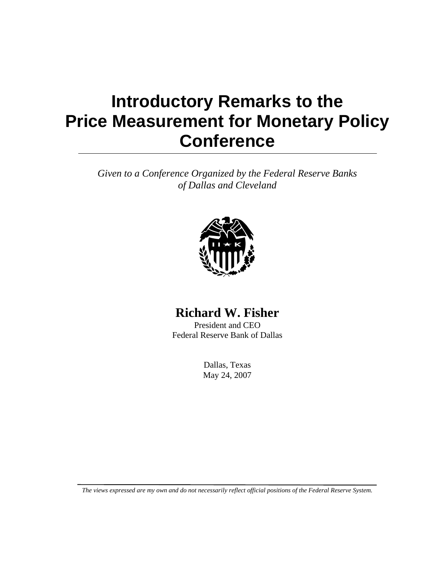## **Introductory Remarks to the Price Measurement for Monetary Policy Conference**

*Given to a Conference Organized by the Federal Reserve Banks of Dallas and Cleveland* 



## **Richard W. Fisher**

President and CEO Federal Reserve Bank of Dallas

> Dallas, Texas May 24, 2007

*The views expressed are my own and do not necessarily reflect official positions of the Federal Reserve System.*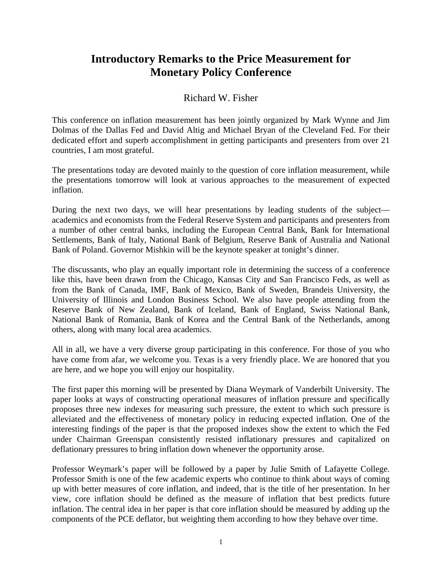## **Introductory Remarks to the Price Measurement for Monetary Policy Conference**

## Richard W. Fisher

This conference on inflation measurement has been jointly organized by Mark Wynne and Jim Dolmas of the Dallas Fed and David Altig and Michael Bryan of the Cleveland Fed. For their dedicated effort and superb accomplishment in getting participants and presenters from over 21 countries, I am most grateful.

The presentations today are devoted mainly to the question of core inflation measurement, while the presentations tomorrow will look at various approaches to the measurement of expected inflation.

During the next two days, we will hear presentations by leading students of the subject academics and economists from the Federal Reserve System and participants and presenters from a number of other central banks, including the European Central Bank, Bank for International Settlements, Bank of Italy, National Bank of Belgium, Reserve Bank of Australia and National Bank of Poland. Governor Mishkin will be the keynote speaker at tonight's dinner.

The discussants, who play an equally important role in determining the success of a conference like this, have been drawn from the Chicago, Kansas City and San Francisco Feds, as well as from the Bank of Canada, IMF, Bank of Mexico, Bank of Sweden, Brandeis University, the University of Illinois and London Business School. We also have people attending from the Reserve Bank of New Zealand, Bank of Iceland, Bank of England, Swiss National Bank, National Bank of Romania, Bank of Korea and the Central Bank of the Netherlands, among others, along with many local area academics.

All in all, we have a very diverse group participating in this conference. For those of you who have come from afar, we welcome you. Texas is a very friendly place. We are honored that you are here, and we hope you will enjoy our hospitality.

The first paper this morning will be presented by Diana Weymark of Vanderbilt University. The paper looks at ways of constructing operational measures of inflation pressure and specifically proposes three new indexes for measuring such pressure, the extent to which such pressure is alleviated and the effectiveness of monetary policy in reducing expected inflation. One of the interesting findings of the paper is that the proposed indexes show the extent to which the Fed under Chairman Greenspan consistently resisted inflationary pressures and capitalized on deflationary pressures to bring inflation down whenever the opportunity arose.

Professor Weymark's paper will be followed by a paper by Julie Smith of Lafayette College. Professor Smith is one of the few academic experts who continue to think about ways of coming up with better measures of core inflation, and indeed, that is the title of her presentation. In her view, core inflation should be defined as the measure of inflation that best predicts future inflation. The central idea in her paper is that core inflation should be measured by adding up the components of the PCE deflator, but weighting them according to how they behave over time.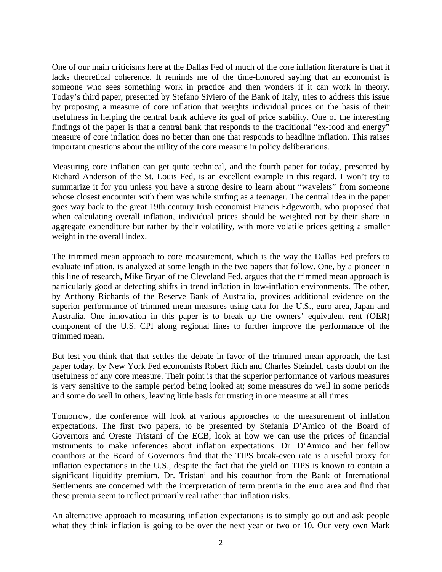One of our main criticisms here at the Dallas Fed of much of the core inflation literature is that it lacks theoretical coherence. It reminds me of the time-honored saying that an economist is someone who sees something work in practice and then wonders if it can work in theory. Today's third paper, presented by Stefano Siviero of the Bank of Italy, tries to address this issue by proposing a measure of core inflation that weights individual prices on the basis of their usefulness in helping the central bank achieve its goal of price stability. One of the interesting findings of the paper is that a central bank that responds to the traditional "ex-food and energy" measure of core inflation does no better than one that responds to headline inflation. This raises important questions about the utility of the core measure in policy deliberations.

Measuring core inflation can get quite technical, and the fourth paper for today, presented by Richard Anderson of the St. Louis Fed, is an excellent example in this regard. I won't try to summarize it for you unless you have a strong desire to learn about "wavelets" from someone whose closest encounter with them was while surfing as a teenager. The central idea in the paper goes way back to the great 19th century Irish economist Francis Edgeworth, who proposed that when calculating overall inflation, individual prices should be weighted not by their share in aggregate expenditure but rather by their volatility, with more volatile prices getting a smaller weight in the overall index.

The trimmed mean approach to core measurement, which is the way the Dallas Fed prefers to evaluate inflation, is analyzed at some length in the two papers that follow. One, by a pioneer in this line of research, Mike Bryan of the Cleveland Fed, argues that the trimmed mean approach is particularly good at detecting shifts in trend inflation in low-inflation environments. The other, by Anthony Richards of the Reserve Bank of Australia, provides additional evidence on the superior performance of trimmed mean measures using data for the U.S., euro area, Japan and Australia. One innovation in this paper is to break up the owners' equivalent rent (OER) component of the U.S. CPI along regional lines to further improve the performance of the trimmed mean.

But lest you think that that settles the debate in favor of the trimmed mean approach, the last paper today, by New York Fed economists Robert Rich and Charles Steindel, casts doubt on the usefulness of any core measure. Their point is that the superior performance of various measures is very sensitive to the sample period being looked at; some measures do well in some periods and some do well in others, leaving little basis for trusting in one measure at all times.

Tomorrow, the conference will look at various approaches to the measurement of inflation expectations. The first two papers, to be presented by Stefania D'Amico of the Board of Governors and Oreste Tristani of the ECB, look at how we can use the prices of financial instruments to make inferences about inflation expectations. Dr. D'Amico and her fellow coauthors at the Board of Governors find that the TIPS break-even rate is a useful proxy for inflation expectations in the U.S., despite the fact that the yield on TIPS is known to contain a significant liquidity premium. Dr. Tristani and his coauthor from the Bank of International Settlements are concerned with the interpretation of term premia in the euro area and find that these premia seem to reflect primarily real rather than inflation risks.

An alternative approach to measuring inflation expectations is to simply go out and ask people what they think inflation is going to be over the next year or two or 10. Our very own Mark